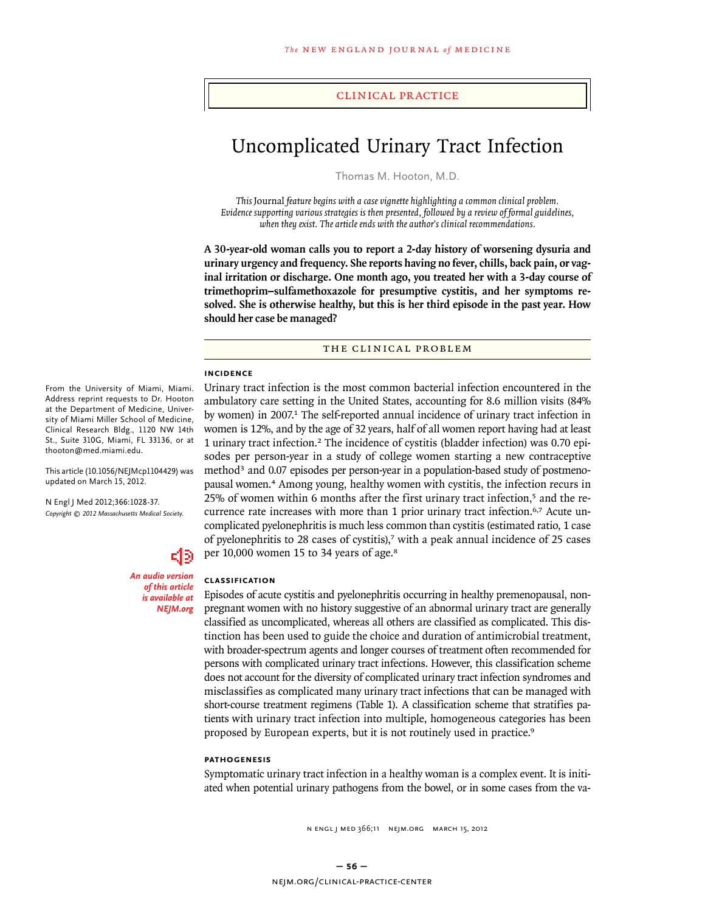clinical practice

# Uncomplicated Urinary Tract Infection

Thomas M. Hooton, M.D.

*This* Journal *feature begins with a case vignette highlighting a common clinical problem. Evidence supporting various strategies is then presented, followed by a review of formal guidelines, when they exist. The article ends with the author's clinical recommendations.* 

**A 30-year-old woman calls you to report a 2-day history of worsening dysuria and urinary urgency and frequency. She reports having no fever, chills, back pain, or vaginal irritation or discharge. One month ago, you treated her with a 3-day course of trimethoprim–sulfamethoxazole for presumptive cystitis, and her symptoms resolved. She is otherwise healthy, but this is her third episode in the past year. How should her case be managed?**

#### THE CLINICAL PROBLEM

#### **Incidence**

From the University of Miami, Miami. Address reprint requests to Dr. Hooton at the Department of Medicine, University of Miami Miller School of Medicine, Clinical Research Bldg., 1120 NW 14th St., Suite 310G, Miami, FL 33136, or at thooton@med.miami.edu.

This article (10.1056/NEJMcp1104429) was updated on March 15, 2012.

N Engl J Med 2012;366:1028-37. *Copyright © 2012 Massachusetts Medical Society.*



*An audio version of this article is available at NEJM.org*

# Urinary tract infection is the most common bacterial infection encountered in the ambulatory care setting in the United States, accounting for 8.6 million visits (84% by women) in 2007.<sup>1</sup> The self-reported annual incidence of urinary tract infection in women is 12%, and by the age of 32 years, half of all women report having had at least 1 urinary tract infection.2 The incidence of cystitis (bladder infection) was 0.70 episodes per person-year in a study of college women starting a new contraceptive method<sup>3</sup> and 0.07 episodes per person-year in a population-based study of postmenopausal women.<sup>4</sup> Among young, healthy women with cystitis, the infection recurs in 25% of women within 6 months after the first urinary tract infection,<sup>5</sup> and the recurrence rate increases with more than 1 prior urinary tract infection.<sup>6,7</sup> Acute uncomplicated pyelonephritis is much less common than cystitis (estimated ratio, 1 case of pyelonephritis to 28 cases of cystitis),<sup>7</sup> with a peak annual incidence of 25 cases per 10,000 women 15 to 34 years of age.<sup>8</sup>

#### **Classification**

Episodes of acute cystitis and pyelonephritis occurring in healthy premenopausal, nonpregnant women with no history suggestive of an abnormal urinary tract are generally classified as uncomplicated, whereas all others are classified as complicated. This distinction has been used to guide the choice and duration of antimicrobial treatment, with broader-spectrum agents and longer courses of treatment often recommended for persons with complicated urinary tract infections. However, this classification scheme does not account for the diversity of complicated urinary tract infection syndromes and misclassifies as complicated many urinary tract infections that can be managed with short-course treatment regimens (Table 1). A classification scheme that stratifies patients with urinary tract infection into multiple, homogeneous categories has been proposed by European experts, but it is not routinely used in practice.<sup>9</sup>

#### **Pathogenesis**

Symptomatic urinary tract infection in a healthy woman is a complex event. It is initiated when potential urinary pathogens from the bowel, or in some cases from the va-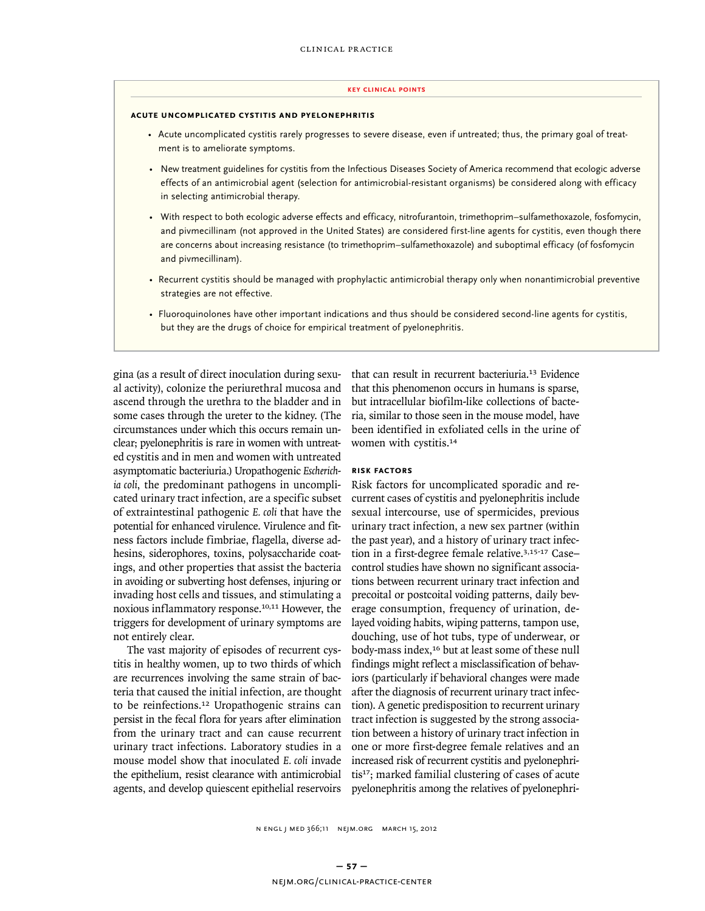#### **key Clinical points**

#### **acute uncomplicated cystitis and pyelonephritis**

- Acute uncomplicated cystitis rarely progresses to severe disease, even if untreated; thus, the primary goal of treatment is to ameliorate symptoms.
- New treatment guidelines for cystitis from the Infectious Diseases Society of America recommend that ecologic adverse effects of an antimicrobial agent (selection for antimicrobial-resistant organisms) be considered along with efficacy in selecting antimicrobial therapy.
- With respect to both ecologic adverse effects and efficacy, nitrofurantoin, trimethoprim–sulfamethoxazole, fosfomycin, and pivmecillinam (not approved in the United States) are considered first-line agents for cystitis, even though there are concerns about increasing resistance (to trimethoprim–sulfamethoxazole) and suboptimal efficacy (of fosfomycin and pivmecillinam).
- Recurrent cystitis should be managed with prophylactic antimicrobial therapy only when nonantimicrobial preventive strategies are not effective.
- Fluoroquinolones have other important indications and thus should be considered second-line agents for cystitis, but they are the drugs of choice for empirical treatment of pyelonephritis.

gina (as a result of direct inoculation during sexual activity), colonize the periurethral mucosa and ascend through the urethra to the bladder and in some cases through the ureter to the kidney. (The circumstances under which this occurs remain unclear; pyelonephritis is rare in women with untreated cystitis and in men and women with untreated asymptomatic bacteriuria.) Uropathogenic *Escherichia coli*, the predominant pathogens in uncomplicated urinary tract infection, are a specific subset of extraintestinal pathogenic *E. coli* that have the potential for enhanced virulence. Virulence and fitness factors include fimbriae, flagella, diverse adhesins, siderophores, toxins, polysaccharide coatings, and other properties that assist the bacteria in avoiding or subverting host defenses, injuring or invading host cells and tissues, and stimulating a noxious inflammatory response.10,11 However, the triggers for development of urinary symptoms are not entirely clear.

The vast majority of episodes of recurrent cystitis in healthy women, up to two thirds of which are recurrences involving the same strain of bacteria that caused the initial infection, are thought to be reinfections.<sup>12</sup> Uropathogenic strains can persist in the fecal flora for years after elimination from the urinary tract and can cause recurrent urinary tract infections. Laboratory studies in a mouse model show that inoculated *E. coli* invade the epithelium, resist clearance with antimicrobial agents, and develop quiescent epithelial reservoirs

that can result in recurrent bacteriuria.<sup>13</sup> Evidence that this phenomenon occurs in humans is sparse, but intracellular biofilm-like collections of bacteria, similar to those seen in the mouse model, have been identified in exfoliated cells in the urine of women with cystitis.<sup>14</sup>

#### **Risk Factors**

Risk factors for uncomplicated sporadic and recurrent cases of cystitis and pyelonephritis include sexual intercourse, use of spermicides, previous urinary tract infection, a new sex partner (within the past year), and a history of urinary tract infection in a first-degree female relative.<sup>3,15-17</sup> Casecontrol studies have shown no significant associations between recurrent urinary tract infection and precoital or postcoital voiding patterns, daily beverage consumption, frequency of urination, delayed voiding habits, wiping patterns, tampon use, douching, use of hot tubs, type of underwear, or body-mass index,<sup>16</sup> but at least some of these null findings might reflect a misclassification of behaviors (particularly if behavioral changes were made after the diagnosis of recurrent urinary tract infection). A genetic predisposition to recurrent urinary tract infection is suggested by the strong association between a history of urinary tract infection in one or more first-degree female relatives and an increased risk of recurrent cystitis and pyelonephritis<sup>17</sup>; marked familial clustering of cases of acute pyelonephritis among the relatives of pyelonephri-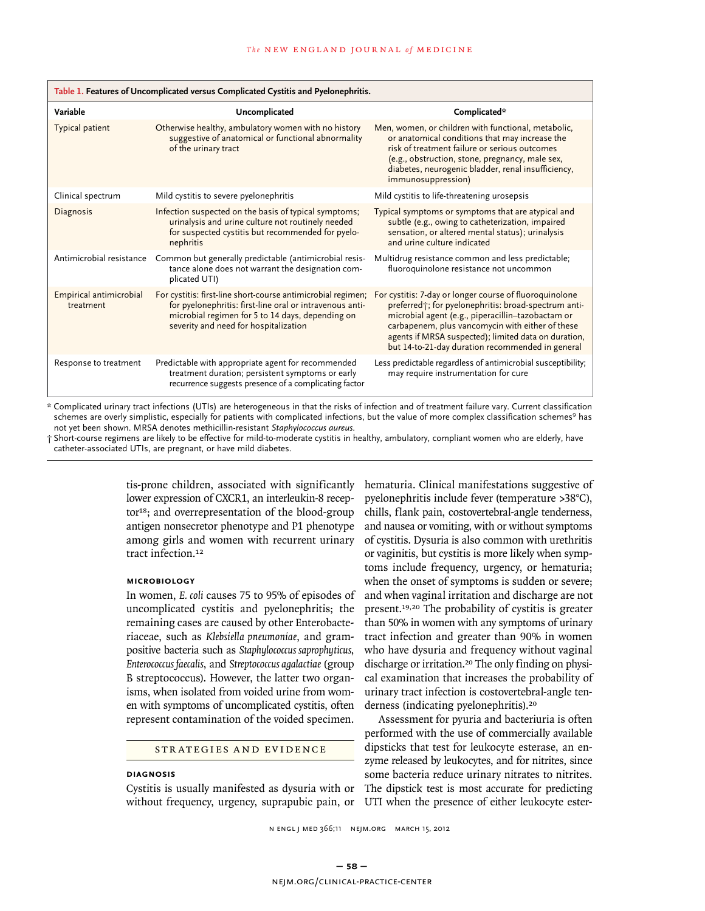| Table 1. Features of Uncomplicated versus Complicated Cystitis and Pyelonephritis. |                                                                                                                                                                                                                       |                                                                                                                                                                                                                                                                                                                                       |  |  |
|------------------------------------------------------------------------------------|-----------------------------------------------------------------------------------------------------------------------------------------------------------------------------------------------------------------------|---------------------------------------------------------------------------------------------------------------------------------------------------------------------------------------------------------------------------------------------------------------------------------------------------------------------------------------|--|--|
| Variable                                                                           | Uncomplicated                                                                                                                                                                                                         | Complicated*                                                                                                                                                                                                                                                                                                                          |  |  |
| Typical patient                                                                    | Otherwise healthy, ambulatory women with no history<br>suggestive of anatomical or functional abnormality<br>of the urinary tract                                                                                     | Men, women, or children with functional, metabolic,<br>or anatomical conditions that may increase the<br>risk of treatment failure or serious outcomes<br>(e.g., obstruction, stone, pregnancy, male sex,<br>diabetes, neurogenic bladder, renal insufficiency,<br>immunosuppression)                                                 |  |  |
| Clinical spectrum                                                                  | Mild cystitis to severe pyelonephritis                                                                                                                                                                                | Mild cystitis to life-threatening urosepsis                                                                                                                                                                                                                                                                                           |  |  |
| <b>Diagnosis</b>                                                                   | Infection suspected on the basis of typical symptoms;<br>urinalysis and urine culture not routinely needed<br>for suspected cystitis but recommended for pyelo-<br>nephritis                                          | Typical symptoms or symptoms that are atypical and<br>subtle (e.g., owing to catheterization, impaired<br>sensation, or altered mental status); urinalysis<br>and urine culture indicated                                                                                                                                             |  |  |
| Antimicrobial resistance                                                           | Common but generally predictable (antimicrobial resis-<br>tance alone does not warrant the designation com-<br>plicated UTI)                                                                                          | Multidrug resistance common and less predictable;<br>fluoroquinolone resistance not uncommon                                                                                                                                                                                                                                          |  |  |
| Empirical antimicrobial<br>treatment                                               | For cystitis: first-line short-course antimicrobial regimen;<br>for pyelonephritis: first-line oral or intravenous anti-<br>microbial regimen for 5 to 14 days, depending on<br>severity and need for hospitalization | For cystitis: 7-day or longer course of fluoroquinolone<br>preferred +; for pyelonephritis: broad-spectrum anti-<br>microbial agent (e.g., piperacillin-tazobactam or<br>carbapenem, plus vancomycin with either of these<br>agents if MRSA suspected); limited data on duration,<br>but 14-to-21-day duration recommended in general |  |  |
| Response to treatment                                                              | Predictable with appropriate agent for recommended<br>treatment duration; persistent symptoms or early<br>recurrence suggests presence of a complicating factor                                                       | Less predictable regardless of antimicrobial susceptibility;<br>may require instrumentation for cure                                                                                                                                                                                                                                  |  |  |

Complicated urinary tract infections (UTIs) are heterogeneous in that the risks of infection and of treatment failure vary. Current classification schemes are overly simplistic, especially for patients with complicated infections, but the value of more complex classification schemes<sup>9</sup> has not yet been shown. MRSA denotes methicillin-resistant *Staphylococcus aureus*.

† Short-course regimens are likely to be effective for mild-to-moderate cystitis in healthy, ambulatory, compliant women who are elderly, have catheter-associated UTIs, are pregnant, or have mild diabetes.

> tis-prone children, associated with significantly lower expression of CXCR1, an interleukin-8 receptor<sup>18</sup>; and overrepresentation of the blood-group antigen nonsecretor phenotype and P1 phenotype among girls and women with recurrent urinary tract infection.<sup>12</sup>

## **Microbiology**

In women, *E. coli* causes 75 to 95% of episodes of uncomplicated cystitis and pyelonephritis; the remaining cases are caused by other Enterobacteriaceae, such as *Klebsiella pneumoniae*, and grampositive bacteria such as *Staphylococcus saprophyticus*, *Enterococcus faecalis*, and *Streptococcus agalactiae* (group B streptococcus). However, the latter two organisms, when isolated from voided urine from women with symptoms of uncomplicated cystitis, often represent contamination of the voided specimen.

STRATEGIES AND EVIDENCE

### **Diagnosis**

Cystitis is usually manifested as dysuria with or without frequency, urgency, suprapubic pain, or hematuria. Clinical manifestations suggestive of pyelonephritis include fever (temperature >38°C), chills, flank pain, costovertebral-angle tenderness, and nausea or vomiting, with or without symptoms of cystitis. Dysuria is also common with urethritis or vaginitis, but cystitis is more likely when symptoms include frequency, urgency, or hematuria; when the onset of symptoms is sudden or severe; and when vaginal irritation and discharge are not present.19,20 The probability of cystitis is greater than 50% in women with any symptoms of urinary tract infection and greater than 90% in women who have dysuria and frequency without vaginal discharge or irritation.<sup>20</sup> The only finding on physical examination that increases the probability of urinary tract infection is costovertebral-angle tenderness (indicating pyelonephritis).<sup>20</sup>

Assessment for pyuria and bacteriuria is often performed with the use of commercially available dipsticks that test for leukocyte esterase, an enzyme released by leukocytes, and for nitrites, since some bacteria reduce urinary nitrates to nitrites. The dipstick test is most accurate for predicting UTI when the presence of either leukocyte ester-

1030 n engl j med 366;11 nejm.org march 15, 2012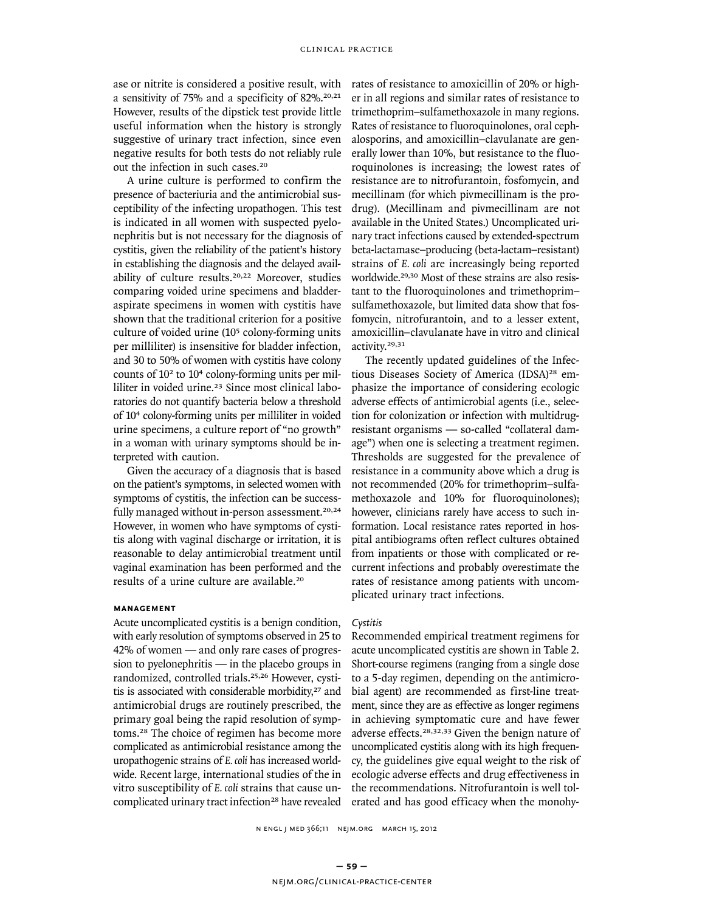ase or nitrite is considered a positive result, with a sensitivity of 75% and a specificity of 82%.20,21 However, results of the dipstick test provide little useful information when the history is strongly suggestive of urinary tract infection, since even negative results for both tests do not reliably rule out the infection in such cases.<sup>20</sup>

A urine culture is performed to confirm the presence of bacteriuria and the antimicrobial susceptibility of the infecting uropathogen. This test is indicated in all women with suspected pyelonephritis but is not necessary for the diagnosis of cystitis, given the reliability of the patient's history in establishing the diagnosis and the delayed availability of culture results.20,22 Moreover, studies comparing voided urine specimens and bladderaspirate specimens in women with cystitis have shown that the traditional criterion for a positive culture of voided urine (10<sup>5</sup> colony-forming units per milliliter) is insensitive for bladder infection, and 30 to 50% of women with cystitis have colony counts of 102 to 104 colony-forming units per milliliter in voided urine.<sup>23</sup> Since most clinical laboratories do not quantify bacteria below a threshold of 10<sup>4</sup> colony-forming units per milliliter in voided urine specimens, a culture report of "no growth" in a woman with urinary symptoms should be interpreted with caution.

Given the accuracy of a diagnosis that is based on the patient's symptoms, in selected women with symptoms of cystitis, the infection can be successfully managed without in-person assessment.<sup>20,24</sup> However, in women who have symptoms of cystitis along with vaginal discharge or irritation, it is reasonable to delay antimicrobial treatment until vaginal examination has been performed and the results of a urine culture are available.<sup>20</sup>

## **Management**

Acute uncomplicated cystitis is a benign condition, with early resolution of symptoms observed in 25 to 42% of women — and only rare cases of progression to pyelonephritis — in the placebo groups in randomized, controlled trials.25,26 However, cystitis is associated with considerable morbidity,<sup>27</sup> and antimicrobial drugs are routinely prescribed, the primary goal being the rapid resolution of symptoms.<sup>28</sup> The choice of regimen has become more complicated as antimicrobial resistance among the uropathogenic strains of *E. coli* has increased worldwide. Recent large, international studies of the in vitro susceptibility of *E. coli* strains that cause uncomplicated urinary tract infection<sup>28</sup> have revealed rates of resistance to amoxicillin of 20% or higher in all regions and similar rates of resistance to trimethoprim–sulfamethoxazole in many regions. Rates of resistance to fluoroquinolones, oral cephalosporins, and amoxicillin–clavulanate are generally lower than 10%, but resistance to the fluoroquinolones is increasing; the lowest rates of resistance are to nitrofurantoin, fosfomycin, and mecillinam (for which pivmecillinam is the prodrug). (Mecillinam and pivmecillinam are not available in the United States.) Uncomplicated urinary tract infections caused by extended-spectrum beta-lactamase–producing (beta-lactam–resistant) strains of *E. coli* are increasingly being reported worldwide.<sup>29,30</sup> Most of these strains are also resistant to the fluoroquinolones and trimethoprim– sulfamethoxazole, but limited data show that fosfomycin, nitrofurantoin, and to a lesser extent, amoxicillin–clavulanate have in vitro and clinical activity.29,31

The recently updated guidelines of the Infectious Diseases Society of America (IDSA)<sup>28</sup> emphasize the importance of considering ecologic adverse effects of antimicrobial agents (i.e., selection for colonization or infection with multidrugresistant organisms — so-called "collateral damage") when one is selecting a treatment regimen. Thresholds are suggested for the prevalence of resistance in a community above which a drug is not recommended (20% for trimethoprim–sulfamethoxazole and 10% for fluoroquinolones); however, clinicians rarely have access to such information. Local resistance rates reported in hospital antibiograms often reflect cultures obtained from inpatients or those with complicated or recurrent infections and probably overestimate the rates of resistance among patients with uncomplicated urinary tract infections.

#### *Cystitis*

Recommended empirical treatment regimens for acute uncomplicated cystitis are shown in Table 2. Short-course regimens (ranging from a single dose to a 5-day regimen, depending on the antimicrobial agent) are recommended as first-line treatment, since they are as effective as longer regimens in achieving symptomatic cure and have fewer adverse effects.28,32,33 Given the benign nature of uncomplicated cystitis along with its high frequency, the guidelines give equal weight to the risk of ecologic adverse effects and drug effectiveness in the recommendations. Nitrofurantoin is well tolerated and has good efficacy when the monohy-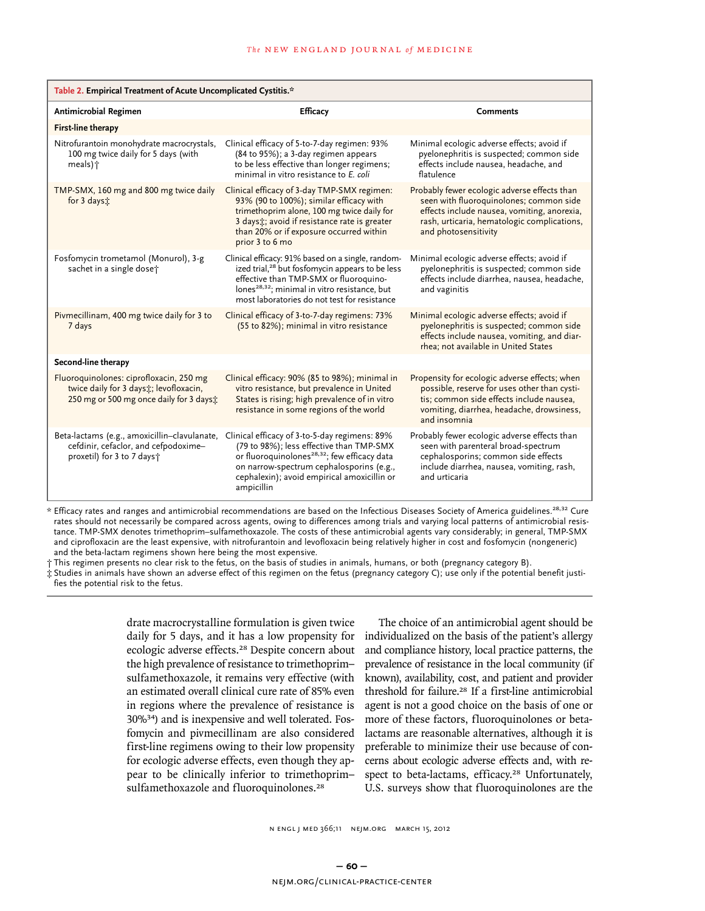| Table 2. Empirical Treatment of Acute Uncomplicated Cystitis.*                                                              |                                                                                                                                                                                                                                                                         |                                                                                                                                                                                                               |  |  |  |
|-----------------------------------------------------------------------------------------------------------------------------|-------------------------------------------------------------------------------------------------------------------------------------------------------------------------------------------------------------------------------------------------------------------------|---------------------------------------------------------------------------------------------------------------------------------------------------------------------------------------------------------------|--|--|--|
| Antimicrobial Regimen                                                                                                       | <b>Efficacy</b>                                                                                                                                                                                                                                                         | <b>Comments</b>                                                                                                                                                                                               |  |  |  |
| <b>First-line therapy</b>                                                                                                   |                                                                                                                                                                                                                                                                         |                                                                                                                                                                                                               |  |  |  |
| Nitrofurantoin monohydrate macrocrystals,<br>100 mg twice daily for 5 days (with<br>meals) †                                | Clinical efficacy of 5-to-7-day regimen: 93%<br>(84 to 95%); a 3-day regimen appears<br>to be less effective than longer regimens;<br>minimal in vitro resistance to E. coli                                                                                            | Minimal ecologic adverse effects; avoid if<br>pyelonephritis is suspected; common side<br>effects include nausea, headache, and<br>flatulence                                                                 |  |  |  |
| TMP-SMX, 160 mg and 800 mg twice daily<br>for 3 days:                                                                       | Clinical efficacy of 3-day TMP-SMX regimen:<br>93% (90 to 100%); similar efficacy with<br>trimethoprim alone, 100 mg twice daily for<br>3 daysi: avoid if resistance rate is greater<br>than 20% or if exposure occurred within<br>prior 3 to 6 mo                      | Probably fewer ecologic adverse effects than<br>seen with fluoroquinolones; common side<br>effects include nausea, vomiting, anorexia,<br>rash, urticaria, hematologic complications,<br>and photosensitivity |  |  |  |
| Fosfomycin trometamol (Monurol), 3-g<br>sachet in a single dose;                                                            | Clinical efficacy: 91% based on a single, random-<br>ized trial, <sup>28</sup> but fosfomycin appears to be less<br>effective than TMP-SMX or fluoroquino-<br>lones <sup>28,32</sup> ; minimal in vitro resistance, but<br>most laboratories do not test for resistance | Minimal ecologic adverse effects; avoid if<br>pyelonephritis is suspected; common side<br>effects include diarrhea, nausea, headache,<br>and vaginitis                                                        |  |  |  |
| Pivmecillinam, 400 mg twice daily for 3 to<br>7 days                                                                        | Clinical efficacy of 3-to-7-day regimens: 73%<br>(55 to 82%); minimal in vitro resistance                                                                                                                                                                               | Minimal ecologic adverse effects; avoid if<br>pyelonephritis is suspected; common side<br>effects include nausea, vomiting, and diar-<br>rhea; not available in United States                                 |  |  |  |
| Second-line therapy                                                                                                         |                                                                                                                                                                                                                                                                         |                                                                                                                                                                                                               |  |  |  |
| Fluoroquinolones: ciprofloxacin, 250 mg<br>twice daily for 3 days: levofloxacin,<br>250 mg or 500 mg once daily for 3 days: | Clinical efficacy: 90% (85 to 98%); minimal in<br>vitro resistance, but prevalence in United<br>States is rising; high prevalence of in vitro<br>resistance in some regions of the world                                                                                | Propensity for ecologic adverse effects; when<br>possible, reserve for uses other than cysti-<br>tis; common side effects include nausea,<br>vomiting, diarrhea, headache, drowsiness,<br>and insomnia        |  |  |  |
| Beta-lactams (e.g., amoxicillin-clavulanate,<br>cefdinir, cefaclor, and cefpodoxime-<br>proxetil) for 3 to 7 days +         | Clinical efficacy of 3-to-5-day regimens: 89%<br>(79 to 98%); less effective than TMP-SMX<br>or fluoroquinolones <sup>28,32</sup> ; few efficacy data<br>on narrow-spectrum cephalosporins (e.g.,<br>cephalexin); avoid empirical amoxicillin or<br>ampicillin          | Probably fewer ecologic adverse effects than<br>seen with parenteral broad-spectrum<br>cephalosporins; common side effects<br>include diarrhea, nausea, vomiting, rash,<br>and urticaria                      |  |  |  |

\* Efficacy rates and ranges and antimicrobial recommendations are based on the Infectious Diseases Society of America guidelines.28,32 Cure rates should not necessarily be compared across agents, owing to differences among trials and varying local patterns of antimicrobial resistance. TMP-SMX denotes trimethoprim–sulfamethoxazole. The costs of these antimicrobial agents vary considerably; in general, TMP-SMX and ciprofloxacin are the least expensive, with nitrofurantoin and levofloxacin being relatively higher in cost and fosfomycin (nongeneric) and the beta-lactam regimens shown here being the most expensive.

† This regimen presents no clear risk to the fetus, on the basis of studies in animals, humans, or both (pregnancy category B).

‡ Studies in animals have shown an adverse effect of this regimen on the fetus (pregnancy category C); use only if the potential benefit justifies the potential risk to the fetus.

> drate macrocrystalline formulation is given twice daily for 5 days, and it has a low propensity for ecologic adverse effects.<sup>28</sup> Despite concern about the high prevalence of resistance to trimethoprim– sulfamethoxazole, it remains very effective (with an estimated overall clinical cure rate of 85% even in regions where the prevalence of resistance is 30%34) and is inexpensive and well tolerated. Fosfomycin and pivmecillinam are also considered first-line regimens owing to their low propensity for ecologic adverse effects, even though they appear to be clinically inferior to trimethoprim– sulfamethoxazole and fluoroquinolones.<sup>28</sup>

The choice of an antimicrobial agent should be individualized on the basis of the patient's allergy and compliance history, local practice patterns, the prevalence of resistance in the local community (if known), availability, cost, and patient and provider threshold for failure.<sup>28</sup> If a first-line antimicrobial agent is not a good choice on the basis of one or more of these factors, fluoroquinolones or betalactams are reasonable alternatives, although it is preferable to minimize their use because of concerns about ecologic adverse effects and, with respect to beta-lactams, efficacy.<sup>28</sup> Unfortunately, U.S. surveys show that fluoroquinolones are the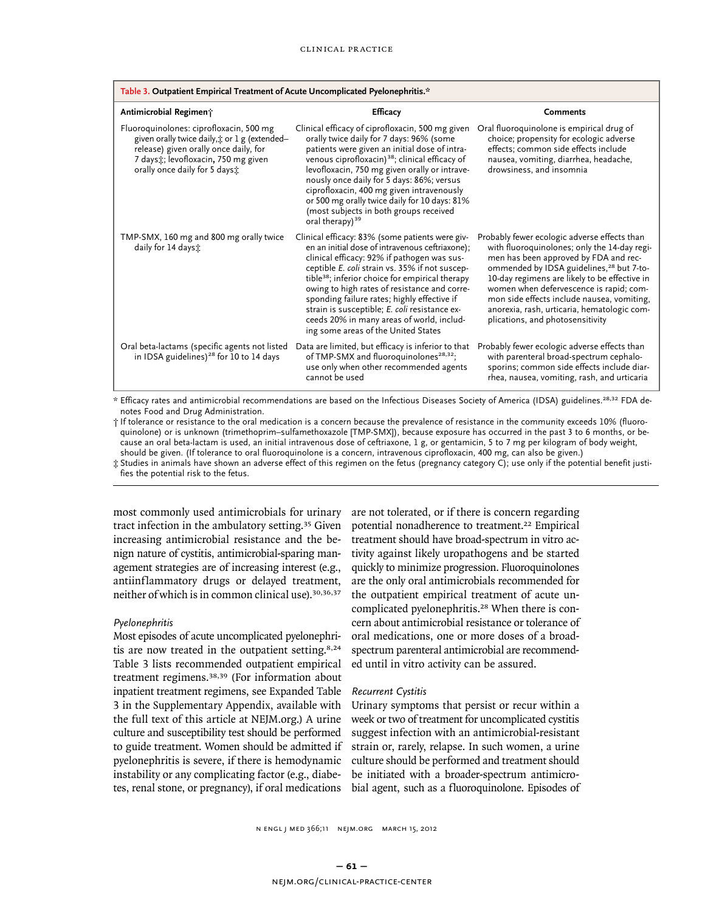| Table 3. Outpatient Empirical Treatment of Acute Uncomplicated Pyelonephritis.*                                                                                                                           |                                                                                                                                                                                                                                                                                                                                                                                                                                                                                                        |                                                                                                                                                                                                                                                                                                                                                                                                                            |  |  |
|-----------------------------------------------------------------------------------------------------------------------------------------------------------------------------------------------------------|--------------------------------------------------------------------------------------------------------------------------------------------------------------------------------------------------------------------------------------------------------------------------------------------------------------------------------------------------------------------------------------------------------------------------------------------------------------------------------------------------------|----------------------------------------------------------------------------------------------------------------------------------------------------------------------------------------------------------------------------------------------------------------------------------------------------------------------------------------------------------------------------------------------------------------------------|--|--|
| Antimicrobial Regiment                                                                                                                                                                                    | <b>Efficacy</b>                                                                                                                                                                                                                                                                                                                                                                                                                                                                                        | <b>Comments</b>                                                                                                                                                                                                                                                                                                                                                                                                            |  |  |
| Fluoroquinolones: ciprofloxacin, 500 mg<br>given orally twice daily, t or 1 g (extended-<br>release) given orally once daily, for<br>7 days: levofloxacin, 750 mg given<br>orally once daily for 5 days : | Clinical efficacy of ciprofloxacin, 500 mg given<br>orally twice daily for 7 days: 96% (some<br>patients were given an initial dose of intra-<br>venous ciprofloxacin) <sup>38</sup> ; clinical efficacy of<br>levofloxacin, 750 mg given orally or intrave-<br>nously once daily for 5 days: 86%; versus<br>ciprofloxacin, 400 mg given intravenously<br>or 500 mg orally twice daily for 10 days: 81%<br>(most subjects in both groups received<br>oral therapy) <sup>39</sup>                       | Oral fluoroquinolone is empirical drug of<br>choice; propensity for ecologic adverse<br>effects; common side effects include<br>nausea, vomiting, diarrhea, headache,<br>drowsiness, and insomnia                                                                                                                                                                                                                          |  |  |
| TMP-SMX, 160 mg and 800 mg orally twice<br>daily for 14 days:                                                                                                                                             | Clinical efficacy: 83% (some patients were giv-<br>en an initial dose of intravenous ceftriaxone);<br>clinical efficacy: 92% if pathogen was sus-<br>ceptible E. coli strain vs. 35% if not suscep-<br>tible <sup>38</sup> ; inferior choice for empirical therapy<br>owing to high rates of resistance and corre-<br>sponding failure rates; highly effective if<br>strain is susceptible; E. coli resistance ex-<br>ceeds 20% in many areas of world, includ-<br>ing some areas of the United States | Probably fewer ecologic adverse effects than<br>with fluoroquinolones; only the 14-day regi-<br>men has been approved by FDA and rec-<br>ommended by IDSA guidelines, <sup>28</sup> but 7-to-<br>10-day regimens are likely to be effective in<br>women when defervescence is rapid; com-<br>mon side effects include nausea, vomiting,<br>anorexia, rash, urticaria, hematologic com-<br>plications, and photosensitivity |  |  |
| Oral beta-lactams (specific agents not listed<br>in IDSA guidelines) <sup>28</sup> for 10 to 14 days                                                                                                      | Data are limited, but efficacy is inferior to that<br>of TMP-SMX and fluoroquinolones <sup>28,32</sup> ;<br>use only when other recommended agents<br>cannot be used                                                                                                                                                                                                                                                                                                                                   | Probably fewer ecologic adverse effects than<br>with parenteral broad-spectrum cephalo-<br>sporins; common side effects include diar-<br>rhea, nausea, vomiting, rash, and urticaria                                                                                                                                                                                                                                       |  |  |

\* Efficacy rates and antimicrobial recommendations are based on the Infectious Diseases Society of America (IDSA) guidelines.28,32 FDA denotes Food and Drug Administration.

† If tolerance or resistance to the oral medication is a concern because the prevalence of resistance in the community exceeds 10% (fluoroquinolone) or is unknown (trimethoprim–sulfamethoxazole [TMP-SMX]), because exposure has occurred in the past 3 to 6 months, or because an oral beta-lactam is used, an initial intravenous dose of ceftriaxone, 1 g, or gentamicin, 5 to 7 mg per kilogram of body weight, should be given. (If tolerance to oral fluoroquinolone is a concern, intravenous ciprofloxacin, 400 mg, can also be given.)

‡ Studies in animals have shown an adverse effect of this regimen on the fetus (pregnancy category C); use only if the potential benefit justifies the potential risk to the fetus.

most commonly used antimicrobials for urinary tract infection in the ambulatory setting.<sup>35</sup> Given increasing antimicrobial resistance and the benign nature of cystitis, antimicrobial-sparing management strategies are of increasing interest (e.g., antiinflammatory drugs or delayed treatment, neither of which is in common clinical use).30,36,37

#### *Pyelonephritis*

Most episodes of acute uncomplicated pyelonephritis are now treated in the outpatient setting.8,24 Table 3 lists recommended outpatient empirical treatment regimens.38,39 (For information about inpatient treatment regimens, see Expanded Table 3 in the Supplementary Appendix, available with the full text of this article at NEJM.org.) A urine culture and susceptibility test should be performed to guide treatment. Women should be admitted if pyelonephritis is severe, if there is hemodynamic instability or any complicating factor (e.g., diabetes, renal stone, or pregnancy), if oral medications

are not tolerated, or if there is concern regarding potential nonadherence to treatment.<sup>22</sup> Empirical treatment should have broad-spectrum in vitro activity against likely uropathogens and be started quickly to minimize progression. Fluoroquinolones are the only oral antimicrobials recommended for the outpatient empirical treatment of acute uncomplicated pyelonephritis.<sup>28</sup> When there is concern about antimicrobial resistance or tolerance of oral medications, one or more doses of a broadspectrum parenteral antimicrobial are recommended until in vitro activity can be assured.

#### *Recurrent Cystitis*

Urinary symptoms that persist or recur within a week or two of treatment for uncomplicated cystitis suggest infection with an antimicrobial-resistant strain or, rarely, relapse. In such women, a urine culture should be performed and treatment should be initiated with a broader-spectrum antimicrobial agent, such as a fluoroquinolone. Episodes of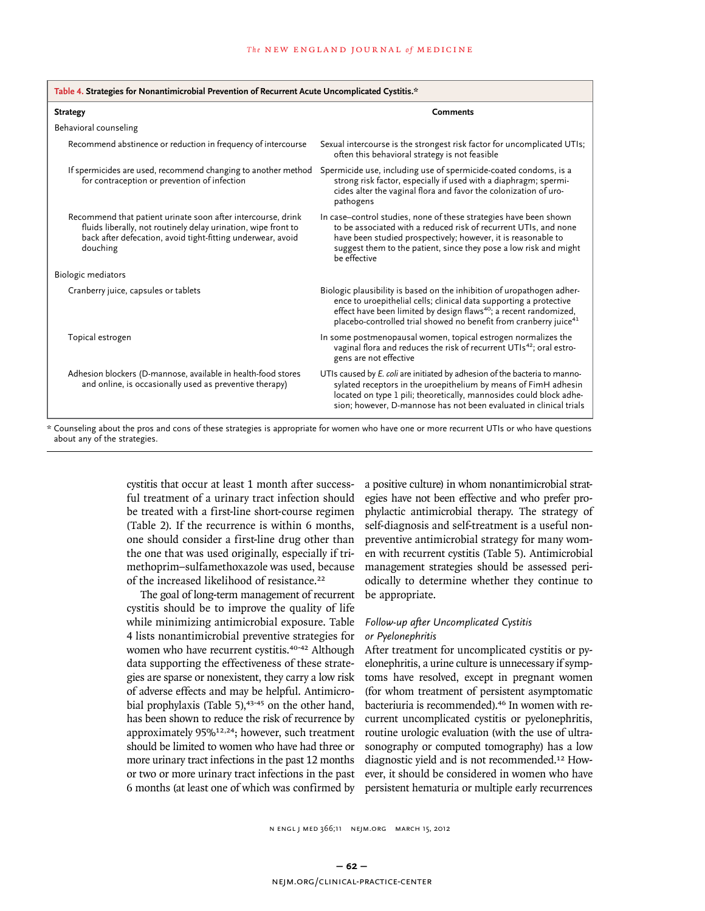| Table 4. Strategies for Nonantimicrobial Prevention of Recurrent Acute Uncomplicated Cystitis.*                                                                                                           |                                                                                                                                                                                                                                                                                                                |  |  |
|-----------------------------------------------------------------------------------------------------------------------------------------------------------------------------------------------------------|----------------------------------------------------------------------------------------------------------------------------------------------------------------------------------------------------------------------------------------------------------------------------------------------------------------|--|--|
| <b>Strategy</b>                                                                                                                                                                                           | <b>Comments</b>                                                                                                                                                                                                                                                                                                |  |  |
| Behavioral counseling                                                                                                                                                                                     |                                                                                                                                                                                                                                                                                                                |  |  |
| Recommend abstinence or reduction in frequency of intercourse                                                                                                                                             | Sexual intercourse is the strongest risk factor for uncomplicated UTIs;<br>often this behavioral strategy is not feasible                                                                                                                                                                                      |  |  |
| If spermicides are used, recommend changing to another method<br>for contraception or prevention of infection                                                                                             | Spermicide use, including use of spermicide-coated condoms, is a<br>strong risk factor, especially if used with a diaphragm; spermi-<br>cides alter the vaginal flora and favor the colonization of uro-<br>pathogens                                                                                          |  |  |
| Recommend that patient urinate soon after intercourse, drink<br>fluids liberally, not routinely delay urination, wipe front to<br>back after defecation, avoid tight-fitting underwear, avoid<br>douching | In case-control studies, none of these strategies have been shown<br>to be associated with a reduced risk of recurrent UTIs, and none<br>have been studied prospectively; however, it is reasonable to<br>suggest them to the patient, since they pose a low risk and might<br>be effective                    |  |  |
| <b>Biologic mediators</b>                                                                                                                                                                                 |                                                                                                                                                                                                                                                                                                                |  |  |
| Cranberry juice, capsules or tablets                                                                                                                                                                      | Biologic plausibility is based on the inhibition of uropathogen adher-<br>ence to uroepithelial cells; clinical data supporting a protective<br>effect have been limited by design flaws <sup>40</sup> ; a recent randomized,<br>placebo-controlled trial showed no benefit from cranberry juice <sup>41</sup> |  |  |
| Topical estrogen                                                                                                                                                                                          | In some postmenopausal women, topical estrogen normalizes the<br>vaginal flora and reduces the risk of recurrent UTIs <sup>42</sup> ; oral estro-<br>gens are not effective                                                                                                                                    |  |  |
| Adhesion blockers (D-mannose, available in health-food stores<br>and online, is occasionally used as preventive therapy)                                                                                  | UTIs caused by E. coli are initiated by adhesion of the bacteria to manno-<br>sylated receptors in the uroepithelium by means of FimH adhesin<br>located on type 1 pili; theoretically, mannosides could block adhe-<br>sion; however, D-mannose has not been evaluated in clinical trials                     |  |  |
|                                                                                                                                                                                                           |                                                                                                                                                                                                                                                                                                                |  |  |

\* Counseling about the pros and cons of these strategies is appropriate for women who have one or more recurrent UTIs or who have questions about any of the strategies.

> cystitis that occur at least 1 month after successful treatment of a urinary tract infection should be treated with a first-line short-course regimen (Table 2). If the recurrence is within 6 months, one should consider a first-line drug other than the one that was used originally, especially if trimethoprim–sulfamethoxazole was used, because of the increased likelihood of resistance.<sup>22</sup>

> The goal of long-term management of recurrent cystitis should be to improve the quality of life while minimizing antimicrobial exposure. Table 4 lists nonantimicrobial preventive strategies for women who have recurrent cystitis.<sup>40-42</sup> Although data supporting the effectiveness of these strategies are sparse or nonexistent, they carry a low risk of adverse effects and may be helpful. Antimicrobial prophylaxis (Table 5), $43-45$  on the other hand, has been shown to reduce the risk of recurrence by approximately 95%<sup>12,24</sup>; however, such treatment should be limited to women who have had three or more urinary tract infections in the past 12 months or two or more urinary tract infections in the past 6 months (at least one of which was confirmed by

a positive culture) in whom nonantimicrobial strategies have not been effective and who prefer prophylactic antimicrobial therapy. The strategy of self-diagnosis and self-treatment is a useful nonpreventive antimicrobial strategy for many women with recurrent cystitis (Table 5). Antimicrobial management strategies should be assessed periodically to determine whether they continue to be appropriate.

## *Follow-up after Uncomplicated Cystitis or Pyelonephritis*

After treatment for uncomplicated cystitis or pyelonephritis, a urine culture is unnecessary if symptoms have resolved, except in pregnant women (for whom treatment of persistent asymptomatic bacteriuria is recommended).46 In women with recurrent uncomplicated cystitis or pyelonephritis, routine urologic evaluation (with the use of ultrasonography or computed tomography) has a low diagnostic yield and is not recommended.12 However, it should be considered in women who have persistent hematuria or multiple early recurrences

1034 n engl j med 366;11 nejm.org march 15, 2012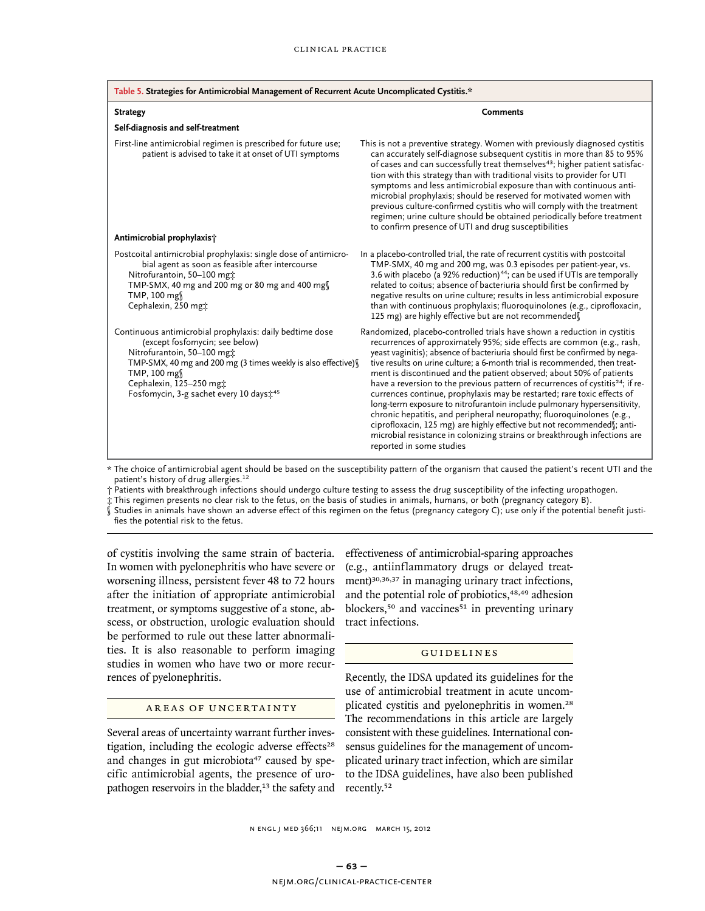| Table 5. Strategies for Antimicrobial Management of Recurrent Acute Uncomplicated Cystitis.*                                                                                                                                                                                              |                                                                                                                                                                                                                                                                                                                                                                                                                                                                                                                                                                                                                                                                                                                                                                                                                                                                                                            |  |  |
|-------------------------------------------------------------------------------------------------------------------------------------------------------------------------------------------------------------------------------------------------------------------------------------------|------------------------------------------------------------------------------------------------------------------------------------------------------------------------------------------------------------------------------------------------------------------------------------------------------------------------------------------------------------------------------------------------------------------------------------------------------------------------------------------------------------------------------------------------------------------------------------------------------------------------------------------------------------------------------------------------------------------------------------------------------------------------------------------------------------------------------------------------------------------------------------------------------------|--|--|
| <b>Strategy</b>                                                                                                                                                                                                                                                                           | Comments                                                                                                                                                                                                                                                                                                                                                                                                                                                                                                                                                                                                                                                                                                                                                                                                                                                                                                   |  |  |
| Self-diagnosis and self-treatment                                                                                                                                                                                                                                                         |                                                                                                                                                                                                                                                                                                                                                                                                                                                                                                                                                                                                                                                                                                                                                                                                                                                                                                            |  |  |
| First-line antimicrobial regimen is prescribed for future use;<br>patient is advised to take it at onset of UTI symptoms                                                                                                                                                                  | This is not a preventive strategy. Women with previously diagnosed cystitis<br>can accurately self-diagnose subsequent cystitis in more than 85 to 95%<br>of cases and can successfully treat themselves <sup>43</sup> ; higher patient satisfac-<br>tion with this strategy than with traditional visits to provider for UTI<br>symptoms and less antimicrobial exposure than with continuous anti-<br>microbial prophylaxis; should be reserved for motivated women with<br>previous culture-confirmed cystitis who will comply with the treatment<br>regimen; urine culture should be obtained periodically before treatment<br>to confirm presence of UTI and drug susceptibilities                                                                                                                                                                                                                    |  |  |
| Antimicrobial prophylaxis;                                                                                                                                                                                                                                                                |                                                                                                                                                                                                                                                                                                                                                                                                                                                                                                                                                                                                                                                                                                                                                                                                                                                                                                            |  |  |
| Postcoital antimicrobial prophylaxis: single dose of antimicro-<br>bial agent as soon as feasible after intercourse<br>Nitrofurantoin, 50-100 mg:<br>TMP-SMX, 40 mg and 200 mg or 80 mg and 400 mg<br>TMP, 100 mg<br>Cephalexin, 250 mgt                                                  | In a placebo-controlled trial, the rate of recurrent cystitis with postcoital<br>TMP-SMX, 40 mg and 200 mg, was 0.3 episodes per patient-year, vs.<br>3.6 with placebo (a 92% reduction) <sup>44</sup> ; can be used if UTIs are temporally<br>related to coitus; absence of bacteriuria should first be confirmed by<br>negative results on urine culture; results in less antimicrobial exposure<br>than with continuous prophylaxis; fluoroquinolones (e.g., ciprofloxacin,<br>125 mg) are highly effective but are not recommended                                                                                                                                                                                                                                                                                                                                                                     |  |  |
| Continuous antimicrobial prophylaxis: daily bedtime dose<br>(except fosfomycin; see below)<br>Nitrofurantoin, 50-100 mgt<br>TMP-SMX, 40 mg and 200 mg (3 times weekly is also effective)<br>TMP, 100 mg<br>Cephalexin, 125-250 mg;<br>Fosfomycin, 3-g sachet every 10 days: <sup>45</sup> | Randomized, placebo-controlled trials have shown a reduction in cystitis<br>recurrences of approximately 95%; side effects are common (e.g., rash,<br>yeast vaginitis); absence of bacteriuria should first be confirmed by nega-<br>tive results on urine culture; a 6-month trial is recommended, then treat-<br>ment is discontinued and the patient observed; about 50% of patients<br>have a reversion to the previous pattern of recurrences of cystitis <sup>24</sup> ; if re-<br>currences continue, prophylaxis may be restarted; rare toxic effects of<br>long-term exposure to nitrofurantoin include pulmonary hypersensitivity,<br>chronic hepatitis, and peripheral neuropathy; fluoroquinolones (e.g.,<br>ciprofloxacin, 125 mg) are highly effective but not recommended f; anti-<br>microbial resistance in colonizing strains or breakthrough infections are<br>reported in some studies |  |  |

\* The choice of antimicrobial agent should be based on the susceptibility pattern of the organism that caused the patient's recent UTI and the patient's history of drug allergies.<sup>12</sup>

† Patients with breakthrough infections should undergo culture testing to assess the drug susceptibility of the infecting uropathogen.

‡ This regimen presents no clear risk to the fetus, on the basis of studies in animals, humans, or both (pregnancy category B).

Studies in animals have shown an adverse effect of this regimen on the fetus (pregnancy category C); use only if the potential benefit justifies the potential risk to the fetus.

of cystitis involving the same strain of bacteria. In women with pyelonephritis who have severe or worsening illness, persistent fever 48 to 72 hours after the initiation of appropriate antimicrobial treatment, or symptoms suggestive of a stone, abscess, or obstruction, urologic evaluation should be performed to rule out these latter abnormalities. It is also reasonable to perform imaging studies in women who have two or more recurrences of pyelonephritis.

## AREAS OF UNCERTAINTY

Several areas of uncertainty warrant further investigation, including the ecologic adverse effects<sup>28</sup> and changes in gut microbiota<sup>47</sup> caused by specific antimicrobial agents, the presence of uropathogen reservoirs in the bladder,<sup>13</sup> the safety and effectiveness of antimicrobial-sparing approaches (e.g., antiinflammatory drugs or delayed treatment)<sup>30,36,37</sup> in managing urinary tract infections, and the potential role of probiotics,<sup>48,49</sup> adhesion blockers,<sup>50</sup> and vaccines<sup>51</sup> in preventing urinary tract infections.

## Guidelines

Recently, the IDSA updated its guidelines for the use of antimicrobial treatment in acute uncomplicated cystitis and pyelonephritis in women.<sup>28</sup> The recommendations in this article are largely consistent with these guidelines. International consensus guidelines for the management of uncomplicated urinary tract infection, which are similar to the IDSA guidelines, have also been published recently.<sup>52</sup>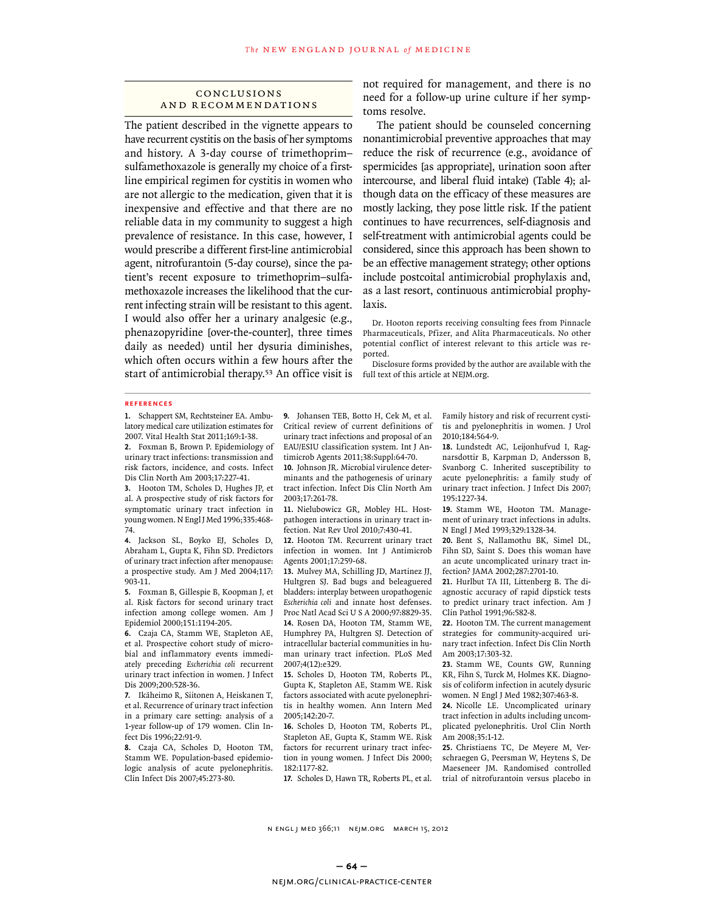## **CONCLUSIONS** a nd R ecommendations

The patient described in the vignette appears to have recurrent cystitis on the basis of her symptoms and history. A 3-day course of trimethoprim– sulfamethoxazole is generally my choice of a firstline empirical regimen for cystitis in women who are not allergic to the medication, given that it is inexpensive and effective and that there are no reliable data in my community to suggest a high prevalence of resistance. In this case, however, I would prescribe a different first-line antimicrobial agent, nitrofurantoin (5-day course), since the patient's recent exposure to trimethoprim–sulfamethoxazole increases the likelihood that the current infecting strain will be resistant to this agent. I would also offer her a urinary analgesic (e.g., phenazopyridine [over-the-counter], three times daily as needed) until her dysuria diminishes, which often occurs within a few hours after the start of antimicrobial therapy.<sup>53</sup> An office visit is

not required for management, and there is no need for a follow-up urine culture if her symptoms resolve.

The patient should be counseled concerning nonantimicrobial preventive approaches that may reduce the risk of recurrence (e.g., avoidance of spermicides [as appropriate], urination soon after intercourse, and liberal fluid intake) (Table 4); although data on the efficacy of these measures are mostly lacking, they pose little risk. If the patient continues to have recurrences, self-diagnosis and self-treatment with antimicrobial agents could be considered, since this approach has been shown to be an effective management strategy; other options include postcoital antimicrobial prophylaxis and, as a last resort, continuous antimicrobial prophylaxis.

Dr. Hooton reports receiving consulting fees from Pinnacle Pharmaceuticals, Pfizer, and Alita Pharmaceuticals. No other potential conflict of interest relevant to this article was reported.

Disclosure forms provided by the author are available with the full text of this article at NEJM.org.

#### **References**

**1.** Schappert SM, Rechtsteiner EA. Ambulatory medical care utilization estimates for 2007. Vital Health Stat 2011;169:1-38.

**2.** Foxman B, Brown P. Epidemiology of urinary tract infections: transmission and risk factors, incidence, and costs. Infect Dis Clin North Am 2003;17:227-41.

**3.** Hooton TM, Scholes D, Hughes JP, et al. A prospective study of risk factors for symptomatic urinary tract infection in young women. N Engl J Med 1996;335:468- 74.

**4.** Jackson SL, Boyko EJ, Scholes D, Abraham L, Gupta K, Fihn SD. Predictors of urinary tract infection after menopause: a prospective study. Am J Med 2004;117: 903-11.

**5.** Foxman B, Gillespie B, Koopman J, et al. Risk factors for second urinary tract infection among college women. Am J Epidemiol 2000;151:1194-205.

**6.** Czaja CA, Stamm WE, Stapleton AE, et al. Prospective cohort study of microbial and inflammatory events immediately preceding *Escherichia coli* recurrent urinary tract infection in women. J Infect Dis 2009;200:528-36.

**7.** Ikäheimo R, Siitonen A, Heiskanen T, et al. Recurrence of urinary tract infection in a primary care setting: analysis of a 1-year follow-up of 179 women. Clin Infect Dis 1996;22:91-9.

**8.** Czaja CA, Scholes D, Hooton TM, Stamm WE. Population-based epidemiologic analysis of acute pyelonephritis. Clin Infect Dis 2007;45:273-80.

**9.** Johansen TEB, Botto H, Cek M, et al. Critical review of current definitions of urinary tract infections and proposal of an EAU/ESIU classification system. Int J Antimicrob Agents 2011;38:Suppl:64-70.

**10.** Johnson JR. Microbial virulence determinants and the pathogenesis of urinary tract infection. Infect Dis Clin North Am 2003;17:261-78.

**11.** Nielubowicz GR, Mobley HL. Hostpathogen interactions in urinary tract infection. Nat Rev Urol 2010;7:430-41.

**12.** Hooton TM. Recurrent urinary tract infection in women. Int J Antimicrob Agents 2001;17:259-68.

**13.** Mulvey MA, Schilling JD, Martinez JJ, Hultgren SJ. Bad bugs and beleaguered bladders: interplay between uropathogenic *Escherichia coli* and innate host defenses. Proc Natl Acad Sci U S A 2000;97:8829-35.

**14.** Rosen DA, Hooton TM, Stamm WE, Humphrey PA, Hultgren SJ. Detection of intracellular bacterial communities in human urinary tract infection. PLoS Med 2007;4(12):e329.

**15.** Scholes D, Hooton TM, Roberts PL, Gupta K, Stapleton AE, Stamm WE. Risk factors associated with acute pyelonephritis in healthy women. Ann Intern Med 2005;142:20-7.

**16.** Scholes D, Hooton TM, Roberts PL, Stapleton AE, Gupta K, Stamm WE. Risk factors for recurrent urinary tract infection in young women. J Infect Dis 2000; 182:1177-82.

**17.** Scholes D, Hawn TR, Roberts PL, et al.

Family history and risk of recurrent cystitis and pyelonephritis in women. J Urol 2010;184:564-9.

**18.** Lundstedt AC, Leijonhufvud I, Ragnarsdottir B, Karpman D, Andersson B, Svanborg C. Inherited susceptibility to acute pyelonephritis: a family study of urinary tract infection. J Infect Dis 2007; 195:1227-34.

**19.** Stamm WE, Hooton TM. Management of urinary tract infections in adults. N Engl J Med 1993;329:1328-34.

**20.** Bent S, Nallamothu BK, Simel DL, Fihn SD, Saint S. Does this woman have an acute uncomplicated urinary tract infection? JAMA 2002;287:2701-10.

**21.** Hurlbut TA III, Littenberg B. The diagnostic accuracy of rapid dipstick tests to predict urinary tract infection. Am J Clin Pathol 1991;96:582-8.

**22.** Hooton TM. The current management strategies for community-acquired urinary tract infection. Infect Dis Clin North Am 2003;17:303-32.

**23.** Stamm WE, Counts GW, Running KR, Fihn S, Turck M, Holmes KK. Diagnosis of coliform infection in acutely dysuric women. N Engl J Med 1982;307:463-8.

**24.** Nicolle LE. Uncomplicated urinary tract infection in adults including uncomplicated pyelonephritis. Urol Clin North Am 2008;35:1-12.

**25.** Christiaens TC, De Meyere M, Verschraegen G, Peersman W, Heytens S, De Maeseneer JM. Randomised controlled trial of nitrofurantoin versus placebo in